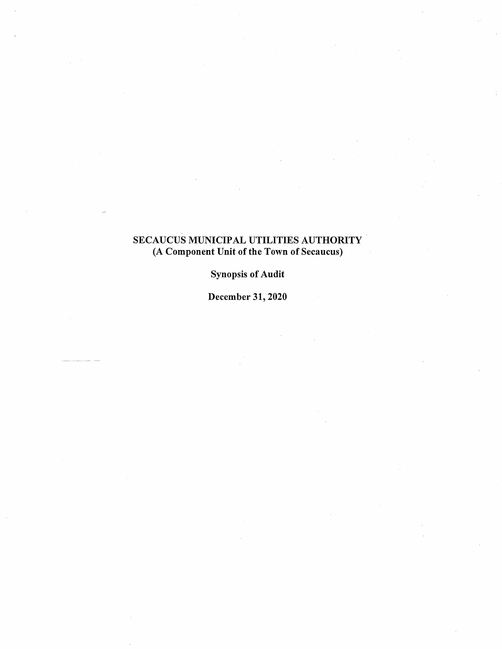## SECAUCUS MUNICIPAL UTILITIES AUTHORITY (A Component Unit of the Town of Secaucus)

## Synopsis of Audit

December 31, 2020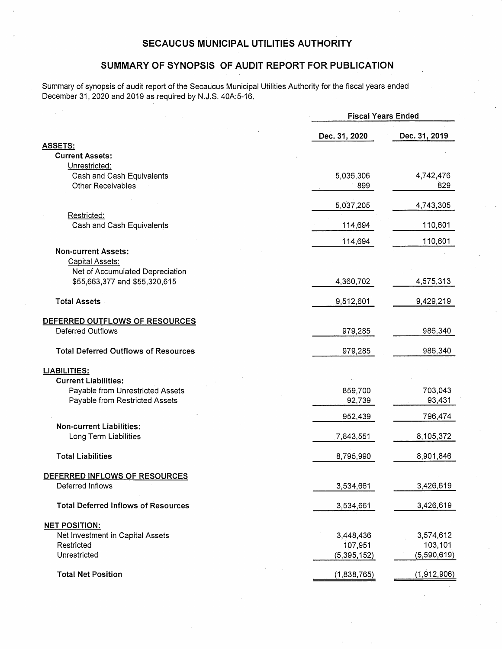#### **SECAUCUS MUNICIPAL UTILITIES AUTHORITY**

#### **SUMMARY OF SYNOPSIS OF AUDIT REPORT FOR PUBLICATION**

Summary of synopsis of audit report of the Secaucus Municipal Utilities Authority for the fiscal years ended December 31, 2020 and 2019 as required by N.J.S. 40A:5-16.

|                                                          |               | <b>Fiscal Years Ended</b> |  |
|----------------------------------------------------------|---------------|---------------------------|--|
|                                                          | Dec. 31, 2020 | Dec. 31, 2019             |  |
| <b>ASSETS:</b>                                           |               |                           |  |
| <b>Current Assets:</b>                                   |               |                           |  |
| Unrestricted:                                            |               |                           |  |
| Cash and Cash Equivalents                                | 5,036,306     | 4,742,476                 |  |
| Other Receivables                                        | 899           | 829                       |  |
|                                                          | 5,037,205     | 4,743,305                 |  |
| Restricted:                                              |               |                           |  |
| Cash and Cash Equivalents                                | 114,694       | 110,601                   |  |
|                                                          | 114,694       | 110,601                   |  |
| <b>Non-current Assets:</b>                               |               |                           |  |
| Capital Assets:                                          |               |                           |  |
| Net of Accumulated Depreciation                          |               |                           |  |
| \$55,663,377 and \$55,320,615                            | 4,360,702     | 4,575,313                 |  |
| <b>Total Assets</b>                                      | 9,512,601     | 9,429,219                 |  |
| DEFERRED OUTFLOWS OF RESOURCES                           |               |                           |  |
| <b>Deferred Outflows</b>                                 | 979,285       | 986,340                   |  |
|                                                          |               |                           |  |
| <b>Total Deferred Outflows of Resources</b>              | 979,285       | 986,340                   |  |
| <b>LIABILITIES:</b>                                      |               |                           |  |
| <b>Current Liabilities:</b>                              |               |                           |  |
| Payable from Unrestricted Assets                         | 859,700       | 703,043                   |  |
| Payable from Restricted Assets                           | 92,739        | 93,431                    |  |
|                                                          | 952,439       | 796,474                   |  |
| <b>Non-current Liabilities:</b>                          |               |                           |  |
| Long Term Liabilities                                    | 7,843,551     | 8,105,372                 |  |
| <b>Total Liabilities</b>                                 | 8,795,990     | 8,901,846                 |  |
|                                                          |               |                           |  |
| <u>DEFERRED INFLOWS OF RESOURCES</u><br>Deferred Inflows | 3,534,661     | 3,426,619                 |  |
|                                                          |               |                           |  |
| <b>Total Deferred Inflows of Resources</b>               | 3,534,661     | 3,426,619                 |  |
| <b>NET POSITION:</b>                                     |               |                           |  |
| Net Investment in Capital Assets                         | 3,448,436     | 3,574,612                 |  |
| Restricted                                               | 107,951       | 103,101                   |  |
| Unrestricted                                             | (5, 395, 152) | (5,590,619)               |  |
|                                                          |               |                           |  |
| <b>Total Net Position</b>                                | (1,838,765)   | (1,912,906)               |  |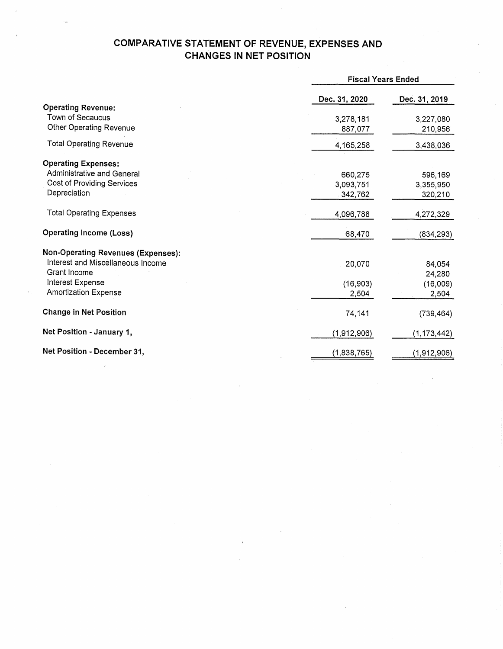# **COMPARATIVE STATEMENT OF REVENUE, EXPENSES AND CHANGES IN NET POSITION**

|                                           |               | <b>Fiscal Years Ended</b> |  |
|-------------------------------------------|---------------|---------------------------|--|
|                                           | Dec. 31, 2020 | Dec. 31, 2019             |  |
| <b>Operating Revenue:</b>                 |               |                           |  |
| Town of Secaucus                          | 3,278,181     | 3,227,080                 |  |
| Other Operating Revenue                   | 887,077       | 210,956                   |  |
| <b>Total Operating Revenue</b>            | 4,165,258     | 3,438,036                 |  |
| <b>Operating Expenses:</b>                |               |                           |  |
| Administrative and General                | 660,275       | 596,169                   |  |
| <b>Cost of Providing Services</b>         | 3,093,751     | 3,355,950                 |  |
| Depreciation                              | 342,762       | 320,210                   |  |
| <b>Total Operating Expenses</b>           | 4,096,788     | 4,272,329                 |  |
| <b>Operating Income (Loss)</b>            | 68,470        | (834, 293)                |  |
| <b>Non-Operating Revenues (Expenses):</b> |               |                           |  |
| Interest and Miscellaneous Income         | 20,070        | 84,054                    |  |
| Grant Income                              |               | 24,280                    |  |
| Interest Expense                          | (16, 903)     | (16,009)                  |  |
| <b>Amortization Expense</b>               | 2,504         | 2,504                     |  |
| <b>Change in Net Position</b>             | 74,141        | (739, 464)                |  |
| Net Position - January 1,                 | (1,912,906)   | (1, 173, 442)             |  |
| Net Position - December 31,               | (1,838,765)   | (1,912,906)               |  |